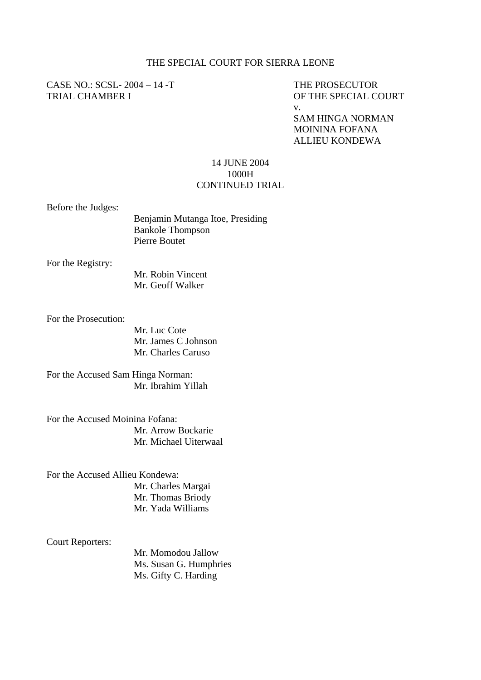## THE SPECIAL COURT FOR SIERRA LEONE

CASE NO.: SCSL-2004 – 14 -T THE PROSECUTOR TRIAL CHAMBER I OF THE SPECIAL COURT

v.

SAM HINGA NORMAN MOININA FOFANA ALLIEU KONDEWA

## 14 JUNE 2004 1000H CONTINUED TRIAL

Before the Judges:

| Benjamin Mutanga Itoe, Presiding |
|----------------------------------|
| <b>Bankole Thompson</b>          |
| Pierre Boutet                    |

For the Registry:

 Mr. Robin Vincent Mr. Geoff Walker

For the Prosecution:

Mr. Luc Cote Mr. James C Johnson Mr. Charles Caruso

For the Accused Sam Hinga Norman: Mr. Ibrahim Yillah

For the Accused Moinina Fofana: Mr. Arrow Bockarie Mr. Michael Uiterwaal

For the Accused Allieu Kondewa: Mr. Charles Margai Mr. Thomas Briody Mr. Yada Williams

Court Reporters:

Mr. Momodou Jallow Ms. Susan G. Humphries Ms. Gifty C. Harding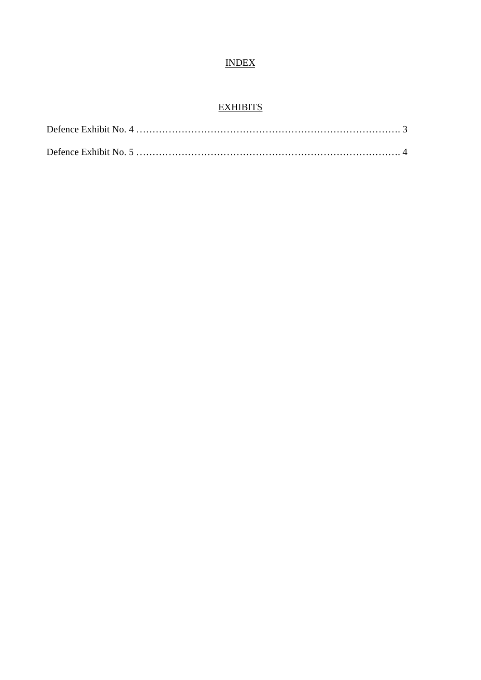## INDEX

## **EXHIBITS**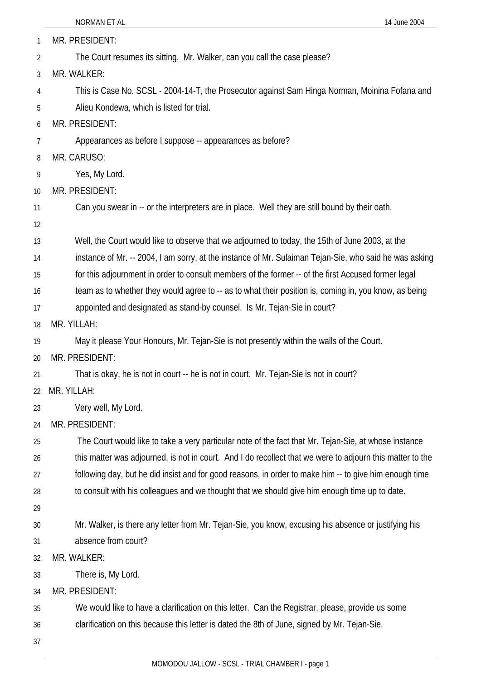|    | NORMAN ET AL<br>14 June 2004                                                                              |
|----|-----------------------------------------------------------------------------------------------------------|
| 1  | MR. PRESIDENT:                                                                                            |
| 2  | The Court resumes its sitting. Mr. Walker, can you call the case please?                                  |
| 3  | MR. WALKER:                                                                                               |
| 4  | This is Case No. SCSL - 2004-14-T, the Prosecutor against Sam Hinga Norman, Moinina Fofana and            |
| 5  | Alieu Kondewa, which is listed for trial.                                                                 |
| 6  | MR. PRESIDENT:                                                                                            |
| 7  | Appearances as before I suppose -- appearances as before?                                                 |
| 8  | MR. CARUSO:                                                                                               |
| 9  | Yes, My Lord.                                                                                             |
| 10 | MR. PRESIDENT:                                                                                            |
| 11 | Can you swear in -- or the interpreters are in place. Well they are still bound by their oath.            |
| 12 |                                                                                                           |
| 13 | Well, the Court would like to observe that we adjourned to today, the 15th of June 2003, at the           |
| 14 | instance of Mr. -- 2004, I am sorry, at the instance of Mr. Sulaiman Tejan-Sie, who said he was asking    |
| 15 | for this adjournment in order to consult members of the former -- of the first Accused former legal       |
| 16 | team as to whether they would agree to -- as to what their position is, coming in, you know, as being     |
| 17 | appointed and designated as stand-by counsel. Is Mr. Tejan-Sie in court?                                  |
| 18 | MR. YILLAH:                                                                                               |
| 19 | May it please Your Honours, Mr. Tejan-Sie is not presently within the walls of the Court.                 |
| 20 | MR. PRESIDENT:                                                                                            |
| 21 | That is okay, he is not in court -- he is not in court. Mr. Tejan-Sie is not in court?                    |
| 22 | MR. YILLAH:                                                                                               |
| 23 | Very well, My Lord.                                                                                       |
| 24 | MR. PRESIDENT:                                                                                            |
| 25 | The Court would like to take a very particular note of the fact that Mr. Tejan-Sie, at whose instance     |
| 26 | this matter was adjourned, is not in court. And I do recollect that we were to adjourn this matter to the |
| 27 | following day, but he did insist and for good reasons, in order to make him -- to give him enough time    |
| 28 | to consult with his colleagues and we thought that we should give him enough time up to date.             |
| 29 |                                                                                                           |
| 30 | Mr. Walker, is there any letter from Mr. Tejan-Sie, you know, excusing his absence or justifying his      |
| 31 | absence from court?                                                                                       |
| 32 | MR. WALKER:                                                                                               |
| 33 | There is, My Lord.                                                                                        |
| 34 | MR. PRESIDENT:                                                                                            |
| 35 | We would like to have a clarification on this letter. Can the Registrar, please, provide us some          |
| 36 | clarification on this because this letter is dated the 8th of June, signed by Mr. Tejan-Sie.              |
| 37 |                                                                                                           |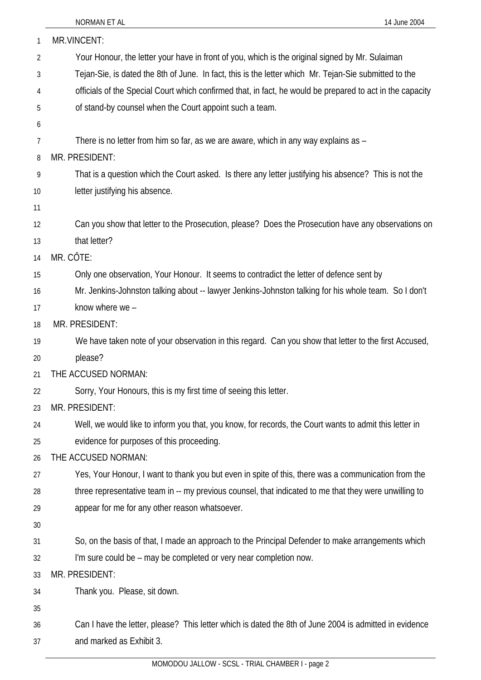| 1              | MR.VINCENT:                                                                                               |
|----------------|-----------------------------------------------------------------------------------------------------------|
| $\overline{2}$ | Your Honour, the letter your have in front of you, which is the original signed by Mr. Sulaiman           |
| 3              | Tejan-Sie, is dated the 8th of June. In fact, this is the letter which Mr. Tejan-Sie submitted to the     |
| 4              | officials of the Special Court which confirmed that, in fact, he would be prepared to act in the capacity |
| 5              | of stand-by counsel when the Court appoint such a team.                                                   |
| 6              |                                                                                                           |
| 7              | There is no letter from him so far, as we are aware, which in any way explains as -                       |
| 8              | MR. PRESIDENT:                                                                                            |
| 9              | That is a question which the Court asked. Is there any letter justifying his absence? This is not the     |
| 10             | letter justifying his absence.                                                                            |
| 11             |                                                                                                           |
| 12             | Can you show that letter to the Prosecution, please? Does the Prosecution have any observations on        |
| 13             | that letter?                                                                                              |
| 14             | MR. CÔTE:                                                                                                 |
| 15             | Only one observation, Your Honour. It seems to contradict the letter of defence sent by                   |
| 16             | Mr. Jenkins-Johnston talking about -- lawyer Jenkins-Johnston talking for his whole team. So I don't      |
| 17             | know where we -                                                                                           |
| 18             | MR. PRESIDENT:                                                                                            |
| 19             | We have taken note of your observation in this regard. Can you show that letter to the first Accused,     |
| 20             | please?                                                                                                   |
| 21             | THE ACCUSED NORMAN:                                                                                       |
| 22             | Sorry, Your Honours, this is my first time of seeing this letter.                                         |
| 23             | MR. PRESIDENT:                                                                                            |
| 24             | Well, we would like to inform you that, you know, for records, the Court wants to admit this letter in    |
| 25             | evidence for purposes of this proceeding.                                                                 |
| 26             | THE ACCUSED NORMAN:                                                                                       |
| 27             | Yes, Your Honour, I want to thank you but even in spite of this, there was a communication from the       |
| 28             | three representative team in -- my previous counsel, that indicated to me that they were unwilling to     |
| 29             | appear for me for any other reason whatsoever.                                                            |
| 30             |                                                                                                           |
| 31             | So, on the basis of that, I made an approach to the Principal Defender to make arrangements which         |
| 32             | I'm sure could be - may be completed or very near completion now.                                         |
| 33             | MR. PRESIDENT:                                                                                            |
| 34             | Thank you. Please, sit down.                                                                              |
| 35             |                                                                                                           |
| 36             | Can I have the letter, please? This letter which is dated the 8th of June 2004 is admitted in evidence    |
| 37             | and marked as Exhibit 3.                                                                                  |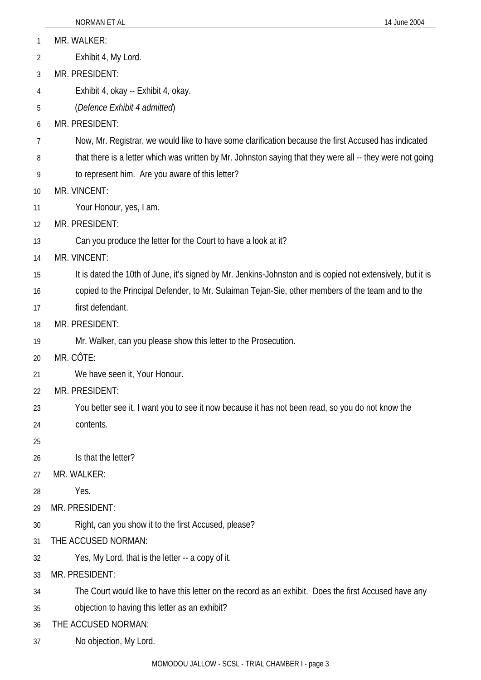|    | NORMAN ET AL<br>14 June 2004                                                                               |
|----|------------------------------------------------------------------------------------------------------------|
| 1  | MR. WALKER:                                                                                                |
| 2  | Exhibit 4, My Lord.                                                                                        |
| 3  | MR. PRESIDENT:                                                                                             |
| 4  | Exhibit 4, okay -- Exhibit 4, okay.                                                                        |
| 5  | (Defence Exhibit 4 admitted)                                                                               |
| 6  | MR. PRESIDENT:                                                                                             |
| 7  | Now, Mr. Registrar, we would like to have some clarification because the first Accused has indicated       |
| 8  | that there is a letter which was written by Mr. Johnston saying that they were all -- they were not going  |
| 9  | to represent him. Are you aware of this letter?                                                            |
| 10 | MR. VINCENT:                                                                                               |
| 11 | Your Honour, yes, I am.                                                                                    |
| 12 | MR. PRESIDENT:                                                                                             |
| 13 | Can you produce the letter for the Court to have a look at it?                                             |
| 14 | MR. VINCENT:                                                                                               |
| 15 | It is dated the 10th of June, it's signed by Mr. Jenkins-Johnston and is copied not extensively, but it is |
| 16 | copied to the Principal Defender, to Mr. Sulaiman Tejan-Sie, other members of the team and to the          |
| 17 | first defendant.                                                                                           |
| 18 | MR. PRESIDENT:                                                                                             |
| 19 | Mr. Walker, can you please show this letter to the Prosecution.                                            |
| 20 | MR. CÔTE:                                                                                                  |
| 21 | We have seen it, Your Honour.                                                                              |
| 22 | MR. PRESIDENT:                                                                                             |
| 23 | You better see it, I want you to see it now because it has not been read, so you do not know the           |
| 24 | contents.                                                                                                  |
| 25 |                                                                                                            |
| 26 | Is that the letter?                                                                                        |
| 27 | MR. WALKER:                                                                                                |
| 28 | Yes.                                                                                                       |
| 29 | MR. PRESIDENT:                                                                                             |
| 30 | Right, can you show it to the first Accused, please?                                                       |
| 31 | THE ACCUSED NORMAN:                                                                                        |
| 32 | Yes, My Lord, that is the letter -- a copy of it.                                                          |
| 33 | MR. PRESIDENT:                                                                                             |
| 34 | The Court would like to have this letter on the record as an exhibit. Does the first Accused have any      |
| 35 | objection to having this letter as an exhibit?                                                             |
| 36 | THE ACCUSED NORMAN:                                                                                        |
| 37 | No objection, My Lord.                                                                                     |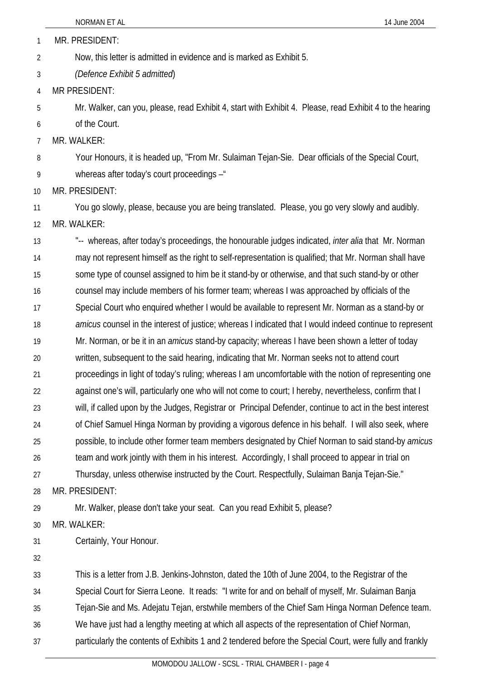1 MR. PRESIDENT:

2 Now, this letter is admitted in evidence and is marked as Exhibit 5.

3 *(Defence Exhibit 5 admitted*)

4 MR PRESIDENT:

5 6 Mr. Walker, can you, please, read Exhibit 4, start with Exhibit 4. Please, read Exhibit 4 to the hearing of the Court.

7 MR. WALKER:

8 Your Honours, it is headed up, "From Mr. Sulaiman Tejan-Sie. Dear officials of the Special Court,

9 whereas after today's court proceedings –"

10 MR. PRESIDENT:

11 12 You go slowly, please, because you are being translated. Please, you go very slowly and audibly. MR. WALKER:

13 14 15 16 17 18 19 20 21 22 23 24 25 26 27 28 "-- whereas, after today's proceedings, the honourable judges indicated, *inter alia* that Mr. Norman may not represent himself as the right to self-representation is qualified; that Mr. Norman shall have some type of counsel assigned to him be it stand-by or otherwise, and that such stand-by or other counsel may include members of his former team; whereas I was approached by officials of the Special Court who enquired whether I would be available to represent Mr. Norman as a stand-by or *amicus* counsel in the interest of justice; whereas I indicated that I would indeed continue to represent Mr. Norman, or be it in an *amicus* stand-by capacity; whereas I have been shown a letter of today written, subsequent to the said hearing, indicating that Mr. Norman seeks not to attend court proceedings in light of today's ruling; whereas I am uncomfortable with the notion of representing one against one's will, particularly one who will not come to court; I hereby, nevertheless, confirm that I will, if called upon by the Judges, Registrar or Principal Defender, continue to act in the best interest of Chief Samuel Hinga Norman by providing a vigorous defence in his behalf. I will also seek, where possible, to include other former team members designated by Chief Norman to said stand-by *amicus* team and work jointly with them in his interest. Accordingly, I shall proceed to appear in trial on Thursday, unless otherwise instructed by the Court. Respectfully, Sulaiman Banja Tejan-Sie." MR. PRESIDENT:

29 Mr. Walker, please don't take your seat. Can you read Exhibit 5, please?

30 MR. WALKER:

31 Certainly, Your Honour.

32

33 34 35 36 37 This is a letter from J.B. Jenkins-Johnston, dated the 10th of June 2004, to the Registrar of the Special Court for Sierra Leone. It reads: "I write for and on behalf of myself, Mr. Sulaiman Banja Tejan-Sie and Ms. Adejatu Tejan, erstwhile members of the Chief Sam Hinga Norman Defence team. We have just had a lengthy meeting at which all aspects of the representation of Chief Norman, particularly the contents of Exhibits 1 and 2 tendered before the Special Court, were fully and frankly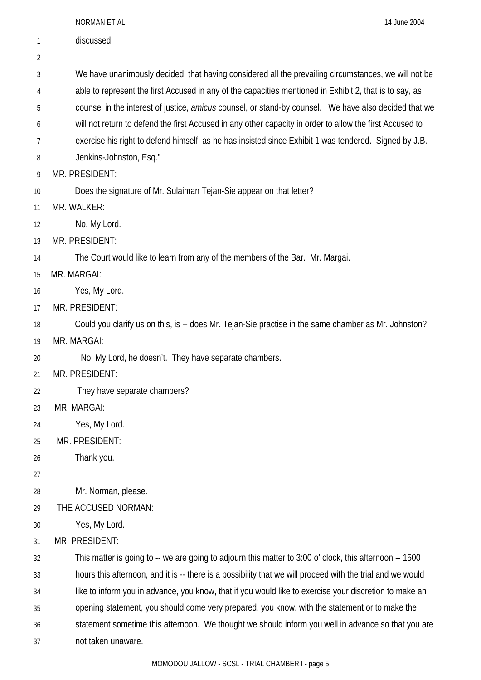|    | 14 June 2004<br>NORMAN ET AL                                                                                 |
|----|--------------------------------------------------------------------------------------------------------------|
| 1  | discussed.                                                                                                   |
| 2  |                                                                                                              |
| 3  | We have unanimously decided, that having considered all the prevailing circumstances, we will not be         |
| 4  | able to represent the first Accused in any of the capacities mentioned in Exhibit 2, that is to say, as      |
| 5  | counsel in the interest of justice, <i>amicus</i> counsel, or stand-by counsel. We have also decided that we |
| 6  | will not return to defend the first Accused in any other capacity in order to allow the first Accused to     |
| 7  | exercise his right to defend himself, as he has insisted since Exhibit 1 was tendered. Signed by J.B.        |
| 8  | Jenkins-Johnston, Esq."                                                                                      |
| 9  | MR. PRESIDENT:                                                                                               |
| 10 | Does the signature of Mr. Sulaiman Tejan-Sie appear on that letter?                                          |
| 11 | MR. WALKER:                                                                                                  |
| 12 | No, My Lord.                                                                                                 |
| 13 | MR. PRESIDENT:                                                                                               |
| 14 | The Court would like to learn from any of the members of the Bar. Mr. Margai.                                |
| 15 | MR. MARGAI:                                                                                                  |
| 16 | Yes, My Lord.                                                                                                |
| 17 | MR. PRESIDENT:                                                                                               |
| 18 | Could you clarify us on this, is -- does Mr. Tejan-Sie practise in the same chamber as Mr. Johnston?         |
| 19 | MR. MARGAI:                                                                                                  |
| 20 | No, My Lord, he doesn't. They have separate chambers.                                                        |
| 21 | MR. PRESIDENT:                                                                                               |
| 22 | They have separate chambers?                                                                                 |
| 23 | MR. MARGAI:                                                                                                  |
| 24 | Yes, My Lord.                                                                                                |
| 25 | MR. PRESIDENT:                                                                                               |
| 26 | Thank you.                                                                                                   |
| 27 |                                                                                                              |
| 28 | Mr. Norman, please.                                                                                          |
| 29 | THE ACCUSED NORMAN:                                                                                          |
| 30 | Yes, My Lord.                                                                                                |
| 31 | MR. PRESIDENT:                                                                                               |
| 32 | This matter is going to -- we are going to adjourn this matter to 3:00 o' clock, this afternoon -- 1500      |
| 33 | hours this afternoon, and it is -- there is a possibility that we will proceed with the trial and we would   |
| 34 | like to inform you in advance, you know, that if you would like to exercise your discretion to make an       |
| 35 | opening statement, you should come very prepared, you know, with the statement or to make the                |
| 36 | statement sometime this afternoon. We thought we should inform you well in advance so that you are           |
| 37 | not taken unaware.                                                                                           |
|    |                                                                                                              |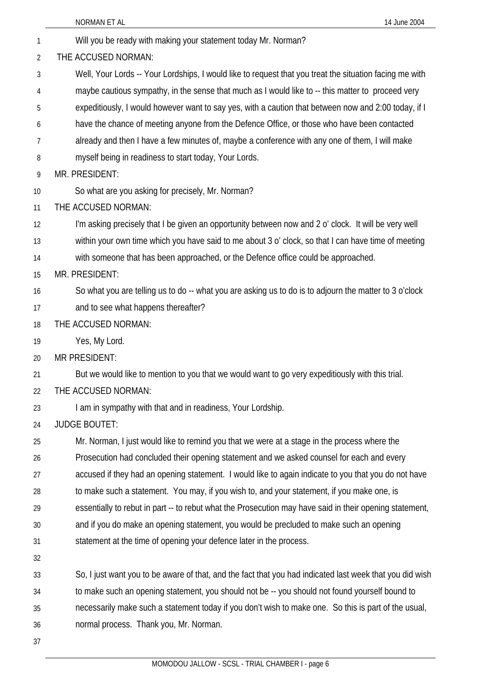|                | NORMAN ET AL<br>14 June 2004                                                                                                                                                                               |
|----------------|------------------------------------------------------------------------------------------------------------------------------------------------------------------------------------------------------------|
| 1              | Will you be ready with making your statement today Mr. Norman?                                                                                                                                             |
| $\overline{2}$ | THE ACCUSED NORMAN:                                                                                                                                                                                        |
| 3              | Well, Your Lords -- Your Lordships, I would like to request that you treat the situation facing me with                                                                                                    |
| 4              | maybe cautious sympathy, in the sense that much as I would like to -- this matter to proceed very                                                                                                          |
| 5              | expeditiously, I would however want to say yes, with a caution that between now and 2:00 today, if I                                                                                                       |
| 6              | have the chance of meeting anyone from the Defence Office, or those who have been contacted                                                                                                                |
| 7              | already and then I have a few minutes of, maybe a conference with any one of them, I will make                                                                                                             |
| 8              | myself being in readiness to start today, Your Lords.                                                                                                                                                      |
| 9              | MR. PRESIDENT:                                                                                                                                                                                             |
| 10             | So what are you asking for precisely, Mr. Norman?                                                                                                                                                          |
| 11             | THE ACCUSED NORMAN:                                                                                                                                                                                        |
| 12             | I'm asking precisely that I be given an opportunity between now and 2 o' clock. It will be very well                                                                                                       |
| 13             | within your own time which you have said to me about 3 o' clock, so that I can have time of meeting                                                                                                        |
| 14             | with someone that has been approached, or the Defence office could be approached.                                                                                                                          |
| 15             | MR. PRESIDENT:                                                                                                                                                                                             |
| 16             | So what you are telling us to do -- what you are asking us to do is to adjourn the matter to 3 o'clock                                                                                                     |
| 17             | and to see what happens thereafter?                                                                                                                                                                        |
| 18             | THE ACCUSED NORMAN:                                                                                                                                                                                        |
| 19             | Yes, My Lord.                                                                                                                                                                                              |
| 20             | <b>MR PRESIDENT:</b>                                                                                                                                                                                       |
| 21             | But we would like to mention to you that we would want to go very expeditiously with this trial.                                                                                                           |
| 22             | THE ACCUSED NORMAN:                                                                                                                                                                                        |
| 23             | I am in sympathy with that and in readiness, Your Lordship.                                                                                                                                                |
| 24             | <b>JUDGE BOUTET:</b>                                                                                                                                                                                       |
| 25             | Mr. Norman, I just would like to remind you that we were at a stage in the process where the                                                                                                               |
| 26             | Prosecution had concluded their opening statement and we asked counsel for each and every                                                                                                                  |
| 27             | accused if they had an opening statement. I would like to again indicate to you that you do not have                                                                                                       |
| 28             | to make such a statement. You may, if you wish to, and your statement, if you make one, is                                                                                                                 |
| 29             | essentially to rebut in part -- to rebut what the Prosecution may have said in their opening statement,                                                                                                    |
| 30             | and if you do make an opening statement, you would be precluded to make such an opening                                                                                                                    |
| 31             | statement at the time of opening your defence later in the process.                                                                                                                                        |
| 32             |                                                                                                                                                                                                            |
| 33             | So, I just want you to be aware of that, and the fact that you had indicated last week that you did wish<br>to make such an opening statement, you should not be -- you should not found yourself bound to |
| 34<br>35       | necessarily make such a statement today if you don't wish to make one. So this is part of the usual,                                                                                                       |
| 36             | normal process. Thank you, Mr. Norman.                                                                                                                                                                     |
| 37             |                                                                                                                                                                                                            |
|                |                                                                                                                                                                                                            |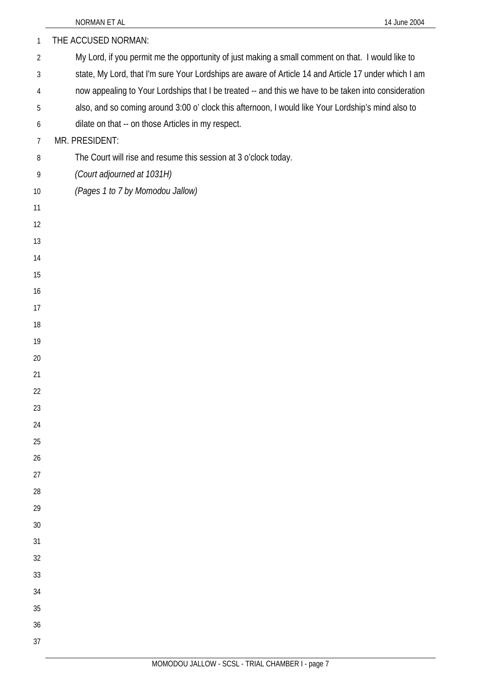| $\mathbf{1}$   | THE ACCUSED NORMAN:                                                                                  |
|----------------|------------------------------------------------------------------------------------------------------|
| $\overline{2}$ | My Lord, if you permit me the opportunity of just making a small comment on that. I would like to    |
| 3              | state, My Lord, that I'm sure Your Lordships are aware of Article 14 and Article 17 under which I am |
| 4              | now appealing to Your Lordships that I be treated -- and this we have to be taken into consideration |
| 5              | also, and so coming around 3:00 o' clock this afternoon, I would like Your Lordship's mind also to   |
| 6              | dilate on that -- on those Articles in my respect.                                                   |
| $\overline{7}$ | MR. PRESIDENT:                                                                                       |
| 8              | The Court will rise and resume this session at 3 o'clock today.                                      |
| 9              | (Court adjourned at 1031H)                                                                           |
| 10             | (Pages 1 to 7 by Momodou Jallow)                                                                     |
| 11             |                                                                                                      |
| 12             |                                                                                                      |
| 13             |                                                                                                      |
| 14             |                                                                                                      |
| 15             |                                                                                                      |
| 16             |                                                                                                      |
| 17             |                                                                                                      |
| 18             |                                                                                                      |
| 19             |                                                                                                      |
| 20             |                                                                                                      |
| 21             |                                                                                                      |
| 22<br>23       |                                                                                                      |
| 24             |                                                                                                      |
| 25             |                                                                                                      |
| 26             |                                                                                                      |
| 27             |                                                                                                      |
| 28             |                                                                                                      |
| 29             |                                                                                                      |
| 30             |                                                                                                      |
| 31             |                                                                                                      |
| 32             |                                                                                                      |
| 33             |                                                                                                      |
| 34             |                                                                                                      |
| 35             |                                                                                                      |
| 36             |                                                                                                      |
| 37             |                                                                                                      |
|                |                                                                                                      |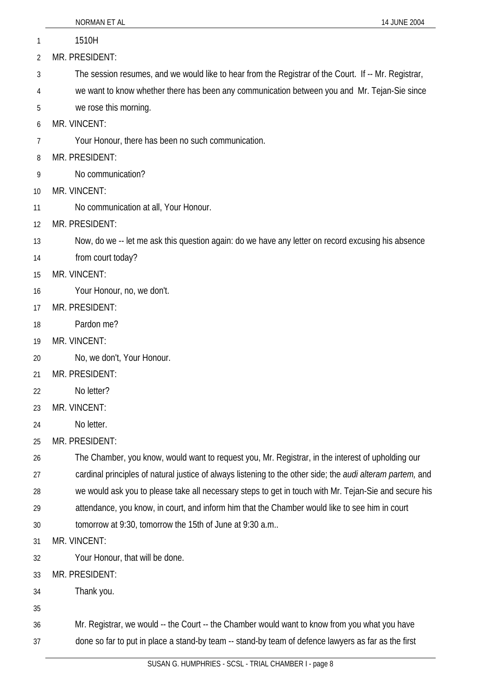|    | NORMAN ET AL<br>14 JUNE 2004                                                                                       |
|----|--------------------------------------------------------------------------------------------------------------------|
| 1  | 1510H                                                                                                              |
| 2  | MR. PRESIDENT:                                                                                                     |
| 3  | The session resumes, and we would like to hear from the Registrar of the Court. If -- Mr. Registrar,               |
| 4  | we want to know whether there has been any communication between you and Mr. Tejan-Sie since                       |
| 5  | we rose this morning.                                                                                              |
| 6  | MR. VINCENT:                                                                                                       |
| 7  | Your Honour, there has been no such communication.                                                                 |
| 8  | MR. PRESIDENT:                                                                                                     |
| 9  | No communication?                                                                                                  |
| 10 | MR. VINCENT:                                                                                                       |
| 11 | No communication at all, Your Honour.                                                                              |
| 12 | MR. PRESIDENT:                                                                                                     |
| 13 | Now, do we -- let me ask this question again: do we have any letter on record excusing his absence                 |
| 14 | from court today?                                                                                                  |
| 15 | MR. VINCENT:                                                                                                       |
| 16 | Your Honour, no, we don't.                                                                                         |
| 17 | MR. PRESIDENT:                                                                                                     |
| 18 | Pardon me?                                                                                                         |
| 19 | MR. VINCENT:                                                                                                       |
| 20 | No, we don't, Your Honour.                                                                                         |
| 21 | MR. PRESIDENT:                                                                                                     |
| 22 | No letter?                                                                                                         |
| 23 | MR. VINCENT:                                                                                                       |
| 24 | No letter.                                                                                                         |
| 25 | MR. PRESIDENT:                                                                                                     |
| 26 | The Chamber, you know, would want to request you, Mr. Registrar, in the interest of upholding our                  |
| 27 | cardinal principles of natural justice of always listening to the other side; the <i>audi alteram partem</i> , and |
| 28 | we would ask you to please take all necessary steps to get in touch with Mr. Tejan-Sie and secure his              |
| 29 | attendance, you know, in court, and inform him that the Chamber would like to see him in court                     |
| 30 | tomorrow at 9:30, tomorrow the 15th of June at 9:30 a.m                                                            |
| 31 | MR. VINCENT:                                                                                                       |
| 32 | Your Honour, that will be done.                                                                                    |
| 33 | MR. PRESIDENT:                                                                                                     |
| 34 | Thank you.                                                                                                         |
| 35 |                                                                                                                    |
| 36 | Mr. Registrar, we would -- the Court -- the Chamber would want to know from you what you have                      |
| 37 | done so far to put in place a stand-by team -- stand-by team of defence lawyers as far as the first                |
|    |                                                                                                                    |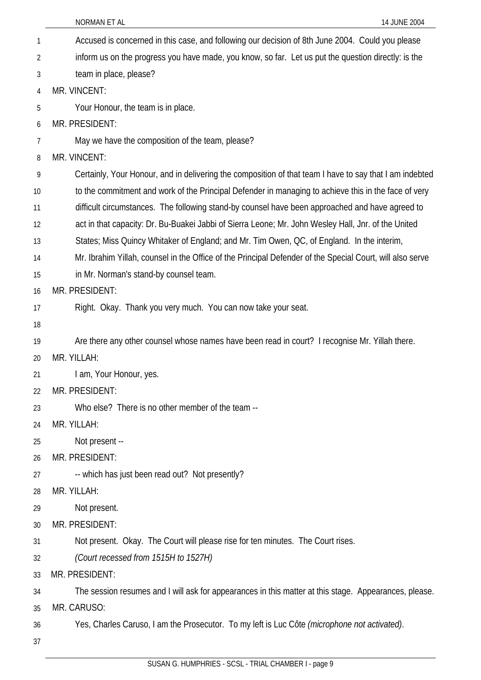|    | <b>NORMAN ET AL</b><br>14 JUNE 2004                                                                       |
|----|-----------------------------------------------------------------------------------------------------------|
| 1  | Accused is concerned in this case, and following our decision of 8th June 2004. Could you please          |
| 2  | inform us on the progress you have made, you know, so far. Let us put the question directly: is the       |
| 3  | team in place, please?                                                                                    |
| 4  | MR. VINCENT:                                                                                              |
| 5  | Your Honour, the team is in place.                                                                        |
| 6  | MR. PRESIDENT:                                                                                            |
| 7  | May we have the composition of the team, please?                                                          |
| 8  | MR. VINCENT:                                                                                              |
| 9  | Certainly, Your Honour, and in delivering the composition of that team I have to say that I am indebted   |
| 10 | to the commitment and work of the Principal Defender in managing to achieve this in the face of very      |
| 11 | difficult circumstances. The following stand-by counsel have been approached and have agreed to           |
| 12 | act in that capacity: Dr. Bu-Buakei Jabbi of Sierra Leone; Mr. John Wesley Hall, Jnr. of the United       |
| 13 | States; Miss Quincy Whitaker of England; and Mr. Tim Owen, QC, of England. In the interim,                |
| 14 | Mr. Ibrahim Yillah, counsel in the Office of the Principal Defender of the Special Court, will also serve |
| 15 | in Mr. Norman's stand-by counsel team.                                                                    |
| 16 | MR. PRESIDENT:                                                                                            |
| 17 | Right. Okay. Thank you very much. You can now take your seat.                                             |
| 18 |                                                                                                           |
| 19 | Are there any other counsel whose names have been read in court? I recognise Mr. Yillah there.            |
| 20 | MR. YILLAH:                                                                                               |
| 21 | I am, Your Honour, yes.                                                                                   |
| 22 | MR. PRESIDENT:                                                                                            |
| 23 | Who else? There is no other member of the team --                                                         |
| 24 | MR. YILLAH:                                                                                               |
| 25 | Not present --                                                                                            |
| 26 | MR. PRESIDENT:                                                                                            |
| 27 | -- which has just been read out? Not presently?                                                           |
| 28 | MR. YILLAH:                                                                                               |
| 29 | Not present.                                                                                              |
| 30 | MR. PRESIDENT:                                                                                            |
| 31 | Not present. Okay. The Court will please rise for ten minutes. The Court rises.                           |
| 32 | (Court recessed from 1515H to 1527H)                                                                      |
| 33 | MR. PRESIDENT:                                                                                            |
| 34 | The session resumes and I will ask for appearances in this matter at this stage. Appearances, please.     |
| 35 | MR. CARUSO:                                                                                               |
| 36 | Yes, Charles Caruso, I am the Prosecutor. To my left is Luc Côte (microphone not activated).              |
| 37 |                                                                                                           |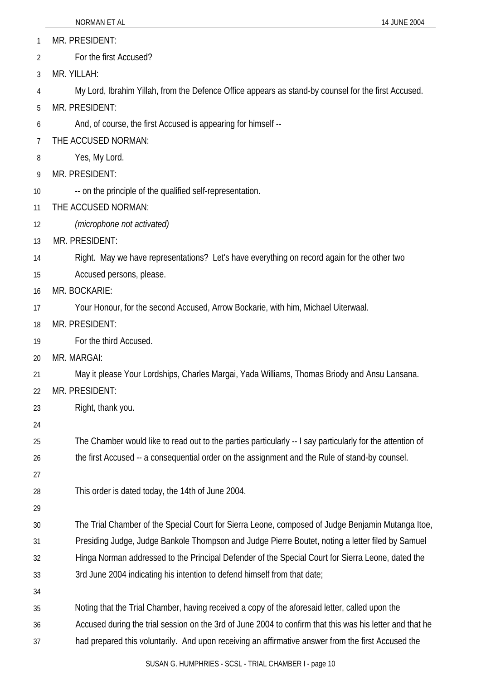1 MR. PRESIDENT:

2 For the first Accused?

3 MR. YILLAH:

4 My Lord, Ibrahim Yillah, from the Defence Office appears as stand-by counsel for the first Accused.

5 MR. PRESIDENT:

6 And, of course, the first Accused is appearing for himself --

7 THE ACCUSED NORMAN:

- 8 Yes, My Lord.
- 9 MR. PRESIDENT:
- 10 -- on the principle of the qualified self-representation.
- 11 THE ACCUSED NORMAN:

12 *(microphone not activated)*

13 MR. PRESIDENT:

14 Right. May we have representations? Let's have everything on record again for the other two

- 15 Accused persons, please.
- 16 MR. BOCKARIE:

17 Your Honour, for the second Accused, Arrow Bockarie, with him, Michael Uiterwaal.

18 MR. PRESIDENT:

19 For the third Accused.

20 MR. MARGAI:

21 May it please Your Lordships, Charles Margai, Yada Williams, Thomas Briody and Ansu Lansana.

22 MR. PRESIDENT:

23 Right, thank you.

24

25 26 The Chamber would like to read out to the parties particularly -- I say particularly for the attention of the first Accused -- a consequential order on the assignment and the Rule of stand-by counsel.

27

28 This order is dated today, the 14th of June 2004.

29

30 31 32 The Trial Chamber of the Special Court for Sierra Leone, composed of Judge Benjamin Mutanga Itoe, Presiding Judge, Judge Bankole Thompson and Judge Pierre Boutet, noting a letter filed by Samuel Hinga Norman addressed to the Principal Defender of the Special Court for Sierra Leone, dated the

- 33 3rd June 2004 indicating his intention to defend himself from that date;
- 34

35 Noting that the Trial Chamber, having received a copy of the aforesaid letter, called upon the

36 37 Accused during the trial session on the 3rd of June 2004 to confirm that this was his letter and that he had prepared this voluntarily. And upon receiving an affirmative answer from the first Accused the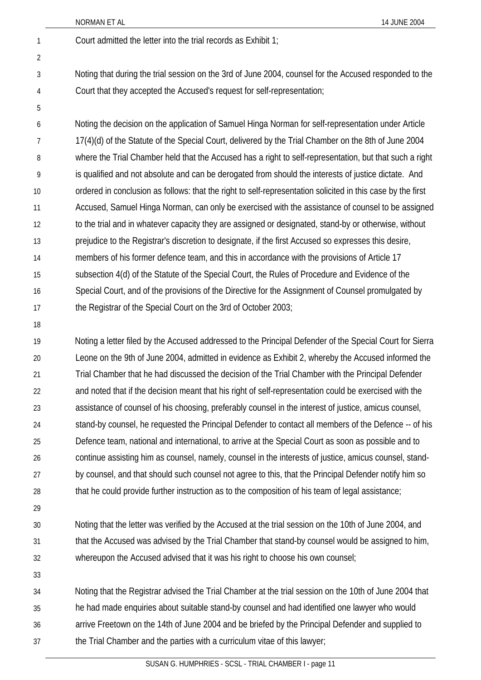2

5

1 Court admitted the letter into the trial records as Exhibit 1;

- 3 4 Noting that during the trial session on the 3rd of June 2004, counsel for the Accused responded to the Court that they accepted the Accused's request for self-representation;
- 6 7 8 9 10 11 12 13 14 15 16 17 Noting the decision on the application of Samuel Hinga Norman for self-representation under Article 17(4)(d) of the Statute of the Special Court, delivered by the Trial Chamber on the 8th of June 2004 where the Trial Chamber held that the Accused has a right to self-representation, but that such a right is qualified and not absolute and can be derogated from should the interests of justice dictate. And ordered in conclusion as follows: that the right to self-representation solicited in this case by the first Accused, Samuel Hinga Norman, can only be exercised with the assistance of counsel to be assigned to the trial and in whatever capacity they are assigned or designated, stand-by or otherwise, without prejudice to the Registrar's discretion to designate, if the first Accused so expresses this desire, members of his former defence team, and this in accordance with the provisions of Article 17 subsection 4(d) of the Statute of the Special Court, the Rules of Procedure and Evidence of the Special Court, and of the provisions of the Directive for the Assignment of Counsel promulgated by the Registrar of the Special Court on the 3rd of October 2003;
- 18

19 20 21 22 23 24 25 26 27 28 Noting a letter filed by the Accused addressed to the Principal Defender of the Special Court for Sierra Leone on the 9th of June 2004, admitted in evidence as Exhibit 2, whereby the Accused informed the Trial Chamber that he had discussed the decision of the Trial Chamber with the Principal Defender and noted that if the decision meant that his right of self-representation could be exercised with the assistance of counsel of his choosing, preferably counsel in the interest of justice, amicus counsel, stand-by counsel, he requested the Principal Defender to contact all members of the Defence -- of his Defence team, national and international, to arrive at the Special Court as soon as possible and to continue assisting him as counsel, namely, counsel in the interests of justice, amicus counsel, standby counsel, and that should such counsel not agree to this, that the Principal Defender notify him so that he could provide further instruction as to the composition of his team of legal assistance;

29

30 31 32 Noting that the letter was verified by the Accused at the trial session on the 10th of June 2004, and that the Accused was advised by the Trial Chamber that stand-by counsel would be assigned to him, whereupon the Accused advised that it was his right to choose his own counsel;

33

34 35 36 37 Noting that the Registrar advised the Trial Chamber at the trial session on the 10th of June 2004 that he had made enquiries about suitable stand-by counsel and had identified one lawyer who would arrive Freetown on the 14th of June 2004 and be briefed by the Principal Defender and supplied to the Trial Chamber and the parties with a curriculum vitae of this lawyer;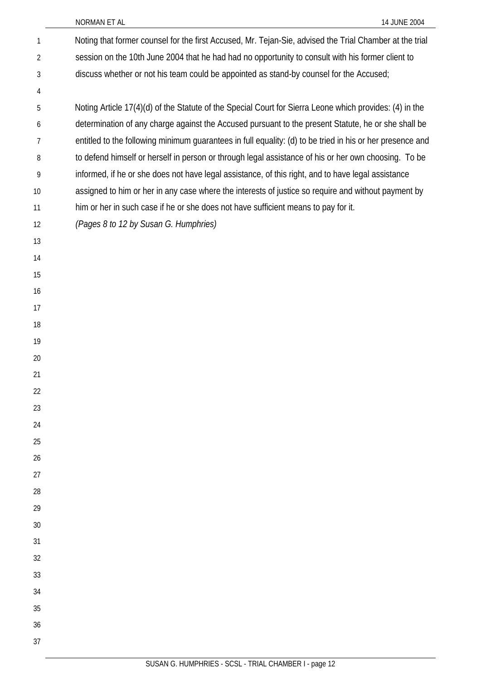| $\mathbf{1}$   | Noting that former counsel for the first Accused, Mr. Tejan-Sie, advised the Trial Chamber at the trial   |
|----------------|-----------------------------------------------------------------------------------------------------------|
| $\overline{2}$ | session on the 10th June 2004 that he had had no opportunity to consult with his former client to         |
| 3              | discuss whether or not his team could be appointed as stand-by counsel for the Accused;                   |
| 4              |                                                                                                           |
| 5              | Noting Article 17(4)(d) of the Statute of the Special Court for Sierra Leone which provides: (4) in the   |
| 6              | determination of any charge against the Accused pursuant to the present Statute, he or she shall be       |
| 7              | entitled to the following minimum guarantees in full equality: (d) to be tried in his or her presence and |
| 8              | to defend himself or herself in person or through legal assistance of his or her own choosing. To be      |
| 9              | informed, if he or she does not have legal assistance, of this right, and to have legal assistance        |
| 10             | assigned to him or her in any case where the interests of justice so require and without payment by       |
| 11             | him or her in such case if he or she does not have sufficient means to pay for it.                        |
| 12             | (Pages 8 to 12 by Susan G. Humphries)                                                                     |
| 13             |                                                                                                           |
| 14             |                                                                                                           |
| 15             |                                                                                                           |
| 16             |                                                                                                           |
| 17             |                                                                                                           |
| 18             |                                                                                                           |
| 19             |                                                                                                           |
| 20             |                                                                                                           |
| 21             |                                                                                                           |
| 22             |                                                                                                           |
| 23             |                                                                                                           |
| 24             |                                                                                                           |
| 25             |                                                                                                           |
| 26             |                                                                                                           |
| 27             |                                                                                                           |
| 28             |                                                                                                           |
| 29             |                                                                                                           |
| 30             |                                                                                                           |
| 31             |                                                                                                           |
| 32<br>33       |                                                                                                           |
| 34             |                                                                                                           |
| 35             |                                                                                                           |
| 36             |                                                                                                           |
| 37             |                                                                                                           |
|                |                                                                                                           |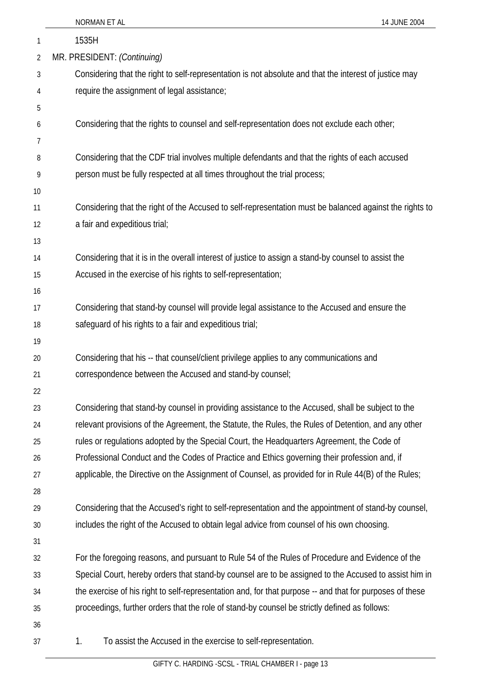|    | NORMAN ET AL<br>14 JUNE 2004                                                                             |
|----|----------------------------------------------------------------------------------------------------------|
| 1  | 1535H                                                                                                    |
| 2  | MR. PRESIDENT: (Continuing)                                                                              |
| 3  | Considering that the right to self-representation is not absolute and that the interest of justice may   |
| 4  | require the assignment of legal assistance;                                                              |
| 5  |                                                                                                          |
| 6  | Considering that the rights to counsel and self-representation does not exclude each other;              |
| 7  |                                                                                                          |
| 8  | Considering that the CDF trial involves multiple defendants and that the rights of each accused          |
| 9  | person must be fully respected at all times throughout the trial process;                                |
| 10 |                                                                                                          |
| 11 | Considering that the right of the Accused to self-representation must be balanced against the rights to  |
| 12 | a fair and expeditious trial;                                                                            |
| 13 |                                                                                                          |
| 14 | Considering that it is in the overall interest of justice to assign a stand-by counsel to assist the     |
| 15 | Accused in the exercise of his rights to self-representation;                                            |
| 16 |                                                                                                          |
| 17 | Considering that stand-by counsel will provide legal assistance to the Accused and ensure the            |
| 18 | safeguard of his rights to a fair and expeditious trial;                                                 |
| 19 |                                                                                                          |
| 20 | Considering that his -- that counsel/client privilege applies to any communications and                  |
| 21 | correspondence between the Accused and stand-by counsel;                                                 |
| 22 |                                                                                                          |
| 23 | Considering that stand-by counsel in providing assistance to the Accused, shall be subject to the        |
| 24 | relevant provisions of the Agreement, the Statute, the Rules, the Rules of Detention, and any other      |
| 25 | rules or regulations adopted by the Special Court, the Headquarters Agreement, the Code of               |
| 26 | Professional Conduct and the Codes of Practice and Ethics governing their profession and, if             |
| 27 | applicable, the Directive on the Assignment of Counsel, as provided for in Rule 44(B) of the Rules;      |
| 28 |                                                                                                          |
| 29 | Considering that the Accused's right to self-representation and the appointment of stand-by counsel,     |
| 30 | includes the right of the Accused to obtain legal advice from counsel of his own choosing.               |
| 31 |                                                                                                          |
| 32 | For the foregoing reasons, and pursuant to Rule 54 of the Rules of Procedure and Evidence of the         |
| 33 | Special Court, hereby orders that stand-by counsel are to be assigned to the Accused to assist him in    |
| 34 | the exercise of his right to self-representation and, for that purpose -- and that for purposes of these |
| 35 | proceedings, further orders that the role of stand-by counsel be strictly defined as follows:            |
| 36 |                                                                                                          |
| 37 | To assist the Accused in the exercise to self-representation.<br>1.                                      |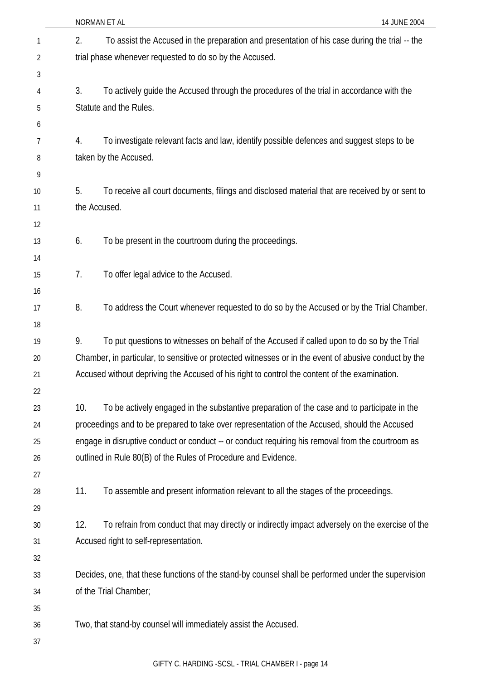|    |     | NORMAN ET AL<br>14 JUNE 2004                                                                          |  |
|----|-----|-------------------------------------------------------------------------------------------------------|--|
| 1  | 2.  | To assist the Accused in the preparation and presentation of his case during the trial -- the         |  |
| 2  |     | trial phase whenever requested to do so by the Accused.                                               |  |
| 3  |     |                                                                                                       |  |
| 4  | 3.  | To actively guide the Accused through the procedures of the trial in accordance with the              |  |
| 5  |     | Statute and the Rules.                                                                                |  |
| 6  |     |                                                                                                       |  |
| 7  | 4.  | To investigate relevant facts and law, identify possible defences and suggest steps to be             |  |
| 8  |     | taken by the Accused.                                                                                 |  |
| 9  |     |                                                                                                       |  |
| 10 | 5.  | To receive all court documents, filings and disclosed material that are received by or sent to        |  |
| 11 |     | the Accused.                                                                                          |  |
| 12 |     |                                                                                                       |  |
| 13 | 6.  | To be present in the courtroom during the proceedings.                                                |  |
| 14 |     |                                                                                                       |  |
| 15 | 7.  | To offer legal advice to the Accused.                                                                 |  |
| 16 |     |                                                                                                       |  |
| 17 | 8.  | To address the Court whenever requested to do so by the Accused or by the Trial Chamber.              |  |
| 18 |     |                                                                                                       |  |
| 19 | 9.  | To put questions to witnesses on behalf of the Accused if called upon to do so by the Trial           |  |
| 20 |     | Chamber, in particular, to sensitive or protected witnesses or in the event of abusive conduct by the |  |
| 21 |     | Accused without depriving the Accused of his right to control the content of the examination.         |  |
| 22 |     |                                                                                                       |  |
| 23 | 10. | To be actively engaged in the substantive preparation of the case and to participate in the           |  |
| 24 |     | proceedings and to be prepared to take over representation of the Accused, should the Accused         |  |
| 25 |     | engage in disruptive conduct or conduct -- or conduct requiring his removal from the courtroom as     |  |
| 26 |     | outlined in Rule 80(B) of the Rules of Procedure and Evidence.                                        |  |
| 27 |     |                                                                                                       |  |
| 28 | 11. | To assemble and present information relevant to all the stages of the proceedings.                    |  |
| 29 |     |                                                                                                       |  |
| 30 | 12. | To refrain from conduct that may directly or indirectly impact adversely on the exercise of the       |  |
| 31 |     | Accused right to self-representation.                                                                 |  |
| 32 |     |                                                                                                       |  |
| 33 |     | Decides, one, that these functions of the stand-by counsel shall be performed under the supervision   |  |
| 34 |     | of the Trial Chamber;                                                                                 |  |
| 35 |     |                                                                                                       |  |
| 36 |     | Two, that stand-by counsel will immediately assist the Accused.                                       |  |
| 37 |     |                                                                                                       |  |
|    |     |                                                                                                       |  |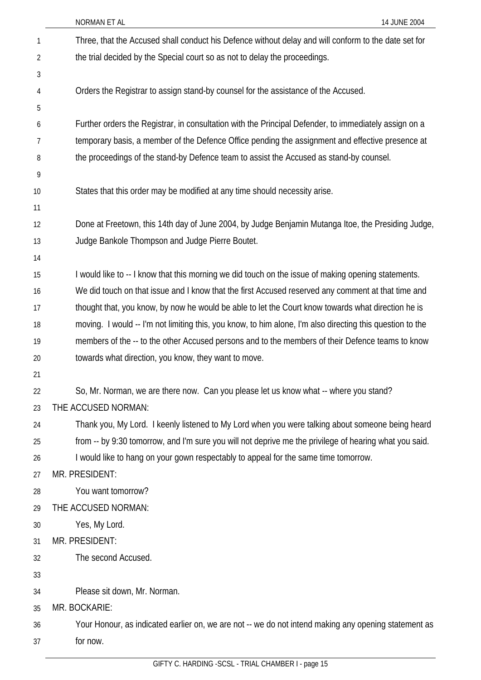| 1              | Three, that the Accused shall conduct his Defence without delay and will conform to the date set for      |
|----------------|-----------------------------------------------------------------------------------------------------------|
| $\overline{2}$ | the trial decided by the Special court so as not to delay the proceedings.                                |
| 3              |                                                                                                           |
| 4              | Orders the Registrar to assign stand-by counsel for the assistance of the Accused.                        |
| 5              |                                                                                                           |
| 6              | Further orders the Registrar, in consultation with the Principal Defender, to immediately assign on a     |
| 7              | temporary basis, a member of the Defence Office pending the assignment and effective presence at          |
| 8              | the proceedings of the stand-by Defence team to assist the Accused as stand-by counsel.                   |
| 9              |                                                                                                           |
| 10             | States that this order may be modified at any time should necessity arise.                                |
| 11             |                                                                                                           |
| 12             | Done at Freetown, this 14th day of June 2004, by Judge Benjamin Mutanga Itoe, the Presiding Judge,        |
| 13             | Judge Bankole Thompson and Judge Pierre Boutet.                                                           |
| 14             |                                                                                                           |
| 15             | I would like to -- I know that this morning we did touch on the issue of making opening statements.       |
| 16             | We did touch on that issue and I know that the first Accused reserved any comment at that time and        |
| 17             | thought that, you know, by now he would be able to let the Court know towards what direction he is        |
| 18             | moving. I would -- I'm not limiting this, you know, to him alone, I'm also directing this question to the |
| 19             | members of the -- to the other Accused persons and to the members of their Defence teams to know          |
| 20             | towards what direction, you know, they want to move.                                                      |
| 21             |                                                                                                           |
| 22             | So, Mr. Norman, we are there now. Can you please let us know what -- where you stand?                     |
| 23             | THE ACCUSED NORMAN:                                                                                       |
| 24             | Thank you, My Lord. I keenly listened to My Lord when you were talking about someone being heard          |
| 25             | from -- by 9:30 tomorrow, and I'm sure you will not deprive me the privilege of hearing what you said.    |
| 26             | I would like to hang on your gown respectably to appeal for the same time tomorrow.                       |
| 27             | MR. PRESIDENT:                                                                                            |
| 28             | You want tomorrow?                                                                                        |
| 29             | THE ACCUSED NORMAN:                                                                                       |
| 30             | Yes, My Lord.                                                                                             |
| 31             | MR. PRESIDENT:                                                                                            |
| 32             | The second Accused.                                                                                       |
| 33             |                                                                                                           |
| 34             | Please sit down, Mr. Norman.                                                                              |
| 35             | MR. BOCKARIE:                                                                                             |
| 36             | Your Honour, as indicated earlier on, we are not -- we do not intend making any opening statement as      |
| 37             | for now.                                                                                                  |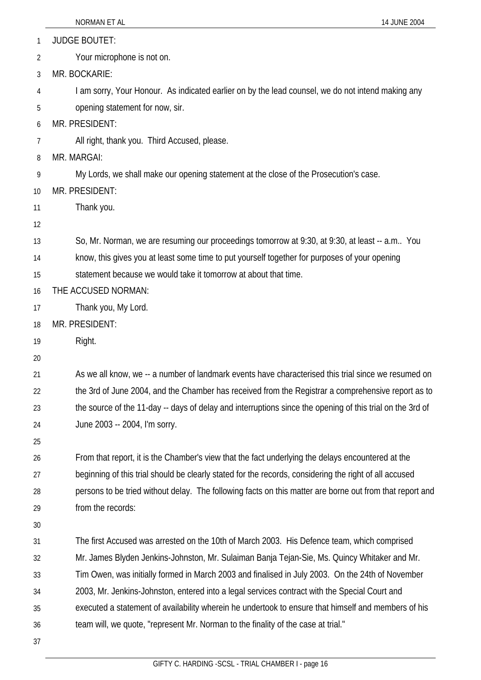|    | NORMAN ET AL<br>14 JUNE 2004                                                                              |
|----|-----------------------------------------------------------------------------------------------------------|
| 1  | <b>JUDGE BOUTET:</b>                                                                                      |
| 2  | Your microphone is not on.                                                                                |
| 3  | MR. BOCKARIE:                                                                                             |
| 4  | I am sorry, Your Honour. As indicated earlier on by the lead counsel, we do not intend making any         |
| 5  | opening statement for now, sir.                                                                           |
| 6  | MR. PRESIDENT:                                                                                            |
| 7  | All right, thank you. Third Accused, please.                                                              |
| 8  | MR. MARGAI:                                                                                               |
| 9  | My Lords, we shall make our opening statement at the close of the Prosecution's case.                     |
| 10 | MR. PRESIDENT:                                                                                            |
| 11 | Thank you.                                                                                                |
| 12 |                                                                                                           |
| 13 | So, Mr. Norman, we are resuming our proceedings tomorrow at 9:30, at 9:30, at least -- a.m You            |
| 14 | know, this gives you at least some time to put yourself together for purposes of your opening             |
| 15 | statement because we would take it tomorrow at about that time.                                           |
| 16 | THE ACCUSED NORMAN:                                                                                       |
| 17 | Thank you, My Lord.                                                                                       |
| 18 | MR. PRESIDENT:                                                                                            |
| 19 | Right.                                                                                                    |
| 20 |                                                                                                           |
| 21 | As we all know, we -- a number of landmark events have characterised this trial since we resumed on       |
| 22 | the 3rd of June 2004, and the Chamber has received from the Registrar a comprehensive report as to        |
| 23 | the source of the 11-day -- days of delay and interruptions since the opening of this trial on the 3rd of |
| 24 | June 2003 -- 2004, I'm sorry.                                                                             |
| 25 |                                                                                                           |
| 26 | From that report, it is the Chamber's view that the fact underlying the delays encountered at the         |
| 27 | beginning of this trial should be clearly stated for the records, considering the right of all accused    |
| 28 | persons to be tried without delay. The following facts on this matter are borne out from that report and  |
| 29 | from the records:                                                                                         |
| 30 |                                                                                                           |
| 31 | The first Accused was arrested on the 10th of March 2003. His Defence team, which comprised               |
| 32 | Mr. James Blyden Jenkins-Johnston, Mr. Sulaiman Banja Tejan-Sie, Ms. Quincy Whitaker and Mr.              |
| 33 | Tim Owen, was initially formed in March 2003 and finalised in July 2003. On the 24th of November          |
| 34 | 2003, Mr. Jenkins-Johnston, entered into a legal services contract with the Special Court and             |
| 35 | executed a statement of availability wherein he undertook to ensure that himself and members of his       |
| 36 | team will, we quote, "represent Mr. Norman to the finality of the case at trial."                         |
| 37 |                                                                                                           |
|    |                                                                                                           |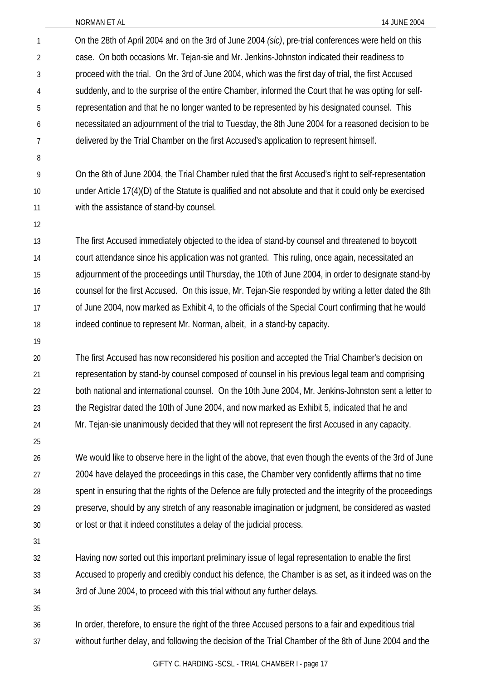On the 28th of April 2004 and on the 3rd of June 2004 *(sic)*, pre-trial conferences were held on this case. On both occasions Mr. Tejan-sie and Mr. Jenkins-Johnston indicated their readiness to proceed with the trial. On the 3rd of June 2004, which was the first day of trial, the first Accused suddenly, and to the surprise of the entire Chamber, informed the Court that he was opting for selfrepresentation and that he no longer wanted to be represented by his designated counsel. This necessitated an adjournment of the trial to Tuesday, the 8th June 2004 for a reasoned decision to be delivered by the Trial Chamber on the first Accused's application to represent himself. On the 8th of June 2004, the Trial Chamber ruled that the first Accused's right to self-representation under Article 17(4)(D) of the Statute is qualified and not absolute and that it could only be exercised with the assistance of stand-by counsel. The first Accused immediately objected to the idea of stand-by counsel and threatened to boycott court attendance since his application was not granted. This ruling, once again, necessitated an adjournment of the proceedings until Thursday, the 10th of June 2004, in order to designate stand-by counsel for the first Accused. On this issue, Mr. Tejan-Sie responded by writing a letter dated the 8th of June 2004, now marked as Exhibit 4, to the officials of the Special Court confirming that he would indeed continue to represent Mr. Norman, albeit, in a stand-by capacity. The first Accused has now reconsidered his position and accepted the Trial Chamber's decision on representation by stand-by counsel composed of counsel in his previous legal team and comprising both national and international counsel. On the 10th June 2004, Mr. Jenkins-Johnston sent a letter to the Registrar dated the 10th of June 2004, and now marked as Exhibit 5, indicated that he and 1 2 3 4 5 6 7 8 9 10 11 12 13 14 15 16 17 18 19 20 21 22 23 24 25 26 27 28 29 30 31 32 Mr. Tejan-sie unanimously decided that they will not represent the first Accused in any capacity. We would like to observe here in the light of the above, that even though the events of the 3rd of June 2004 have delayed the proceedings in this case, the Chamber very confidently affirms that no time spent in ensuring that the rights of the Defence are fully protected and the integrity of the proceedings preserve, should by any stretch of any reasonable imagination or judgment, be considered as wasted or lost or that it indeed constitutes a delay of the judicial process. Having now sorted out this important preliminary issue of legal representation to enable the first

33 34 Accused to properly and credibly conduct his defence, the Chamber is as set, as it indeed was on the 3rd of June 2004, to proceed with this trial without any further delays.

35

36 37 In order, therefore, to ensure the right of the three Accused persons to a fair and expeditious trial without further delay, and following the decision of the Trial Chamber of the 8th of June 2004 and the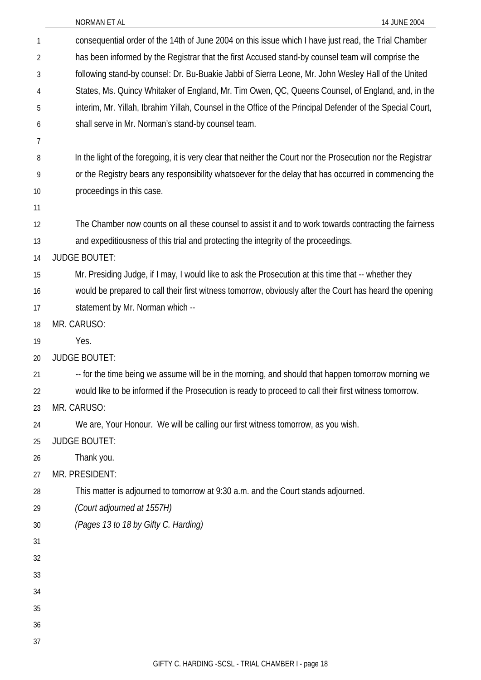| NORMAN ET AL |  |
|--------------|--|
|              |  |

| 1  | consequential order of the 14th of June 2004 on this issue which I have just read, the Trial Chamber         |
|----|--------------------------------------------------------------------------------------------------------------|
| 2  | has been informed by the Registrar that the first Accused stand-by counsel team will comprise the            |
| 3  | following stand-by counsel: Dr. Bu-Buakie Jabbi of Sierra Leone, Mr. John Wesley Hall of the United          |
| 4  | States, Ms. Quincy Whitaker of England, Mr. Tim Owen, QC, Queens Counsel, of England, and, in the            |
| 5  | interim, Mr. Yillah, Ibrahim Yillah, Counsel in the Office of the Principal Defender of the Special Court,   |
| 6  | shall serve in Mr. Norman's stand-by counsel team.                                                           |
| 7  |                                                                                                              |
| 8  | In the light of the foregoing, it is very clear that neither the Court nor the Prosecution nor the Registrar |
| 9  | or the Registry bears any responsibility whatsoever for the delay that has occurred in commencing the        |
| 10 | proceedings in this case.                                                                                    |
| 11 |                                                                                                              |
| 12 | The Chamber now counts on all these counsel to assist it and to work towards contracting the fairness        |
| 13 | and expeditiousness of this trial and protecting the integrity of the proceedings.                           |
| 14 | <b>JUDGE BOUTET:</b>                                                                                         |
| 15 | Mr. Presiding Judge, if I may, I would like to ask the Prosecution at this time that -- whether they         |
| 16 | would be prepared to call their first witness tomorrow, obviously after the Court has heard the opening      |
| 17 | statement by Mr. Norman which --                                                                             |
| 18 | MR. CARUSO:                                                                                                  |
| 19 | Yes.                                                                                                         |
| 20 | <b>JUDGE BOUTET:</b>                                                                                         |
| 21 | -- for the time being we assume will be in the morning, and should that happen tomorrow morning we           |
| 22 | would like to be informed if the Prosecution is ready to proceed to call their first witness tomorrow.       |
| 23 | MR. CARUSO:                                                                                                  |
| 24 | We are, Your Honour. We will be calling our first witness tomorrow, as you wish.                             |
| 25 | <b>JUDGE BOUTET:</b>                                                                                         |
| 26 | Thank you.                                                                                                   |
| 27 | MR. PRESIDENT:                                                                                               |
| 28 | This matter is adjourned to tomorrow at 9:30 a.m. and the Court stands adjourned.                            |
| 29 | (Court adjourned at 1557H)                                                                                   |
| 30 | (Pages 13 to 18 by Gifty C. Harding)                                                                         |
| 31 |                                                                                                              |
| 32 |                                                                                                              |
| 33 |                                                                                                              |
| 34 |                                                                                                              |
| 35 |                                                                                                              |
| 36 |                                                                                                              |
| 37 |                                                                                                              |